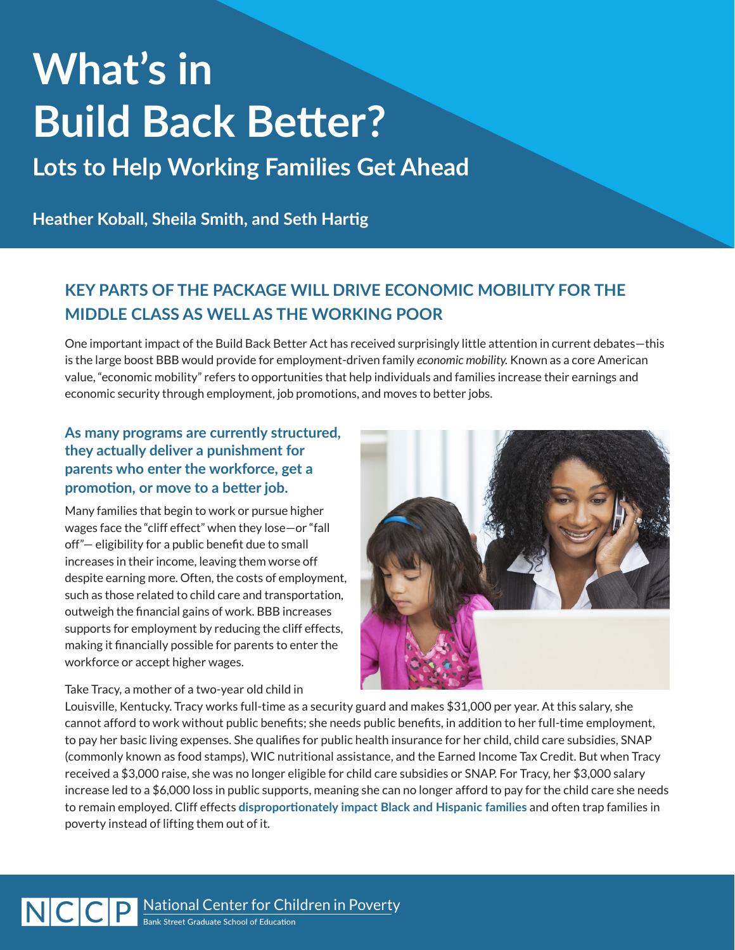# **What's in Build Back Better?**

**Lots to Help Working Families Get Ahead**

**Heather Koball, Sheila Smith, and Seth Hartig**

# **KEY PARTS OF THE PACKAGE WILL DRIVE ECONOMIC MOBILITY FOR THE MIDDLE CLASS AS WELL AS THE WORKING POOR**

One important impact of the Build Back Better Act has received surprisingly little attention in current debates—this is the large boost BBB would provide for employment-driven family *economic mobility.* Known as a core American value, "economic mobility" refers to opportunities that help individuals and families increase their earnings and economic security through employment, job promotions, and moves to better jobs.

### **As many programs are currently structured, they actually deliver a punishment for parents who enter the workforce, get a promotion, or move to a better job.**

Many families that begin to work or pursue higher wages face the "cliff effect" when they lose—or "fall off"— eligibility for a public benefit due to small increases in their income, leaving them worse off despite earning more. Often, the costs of employment, such as those related to child care and transportation, outweigh the financial gains of work. BBB increases supports for employment by reducing the cliff effects, making it financially possible for parents to enter the workforce or accept higher wages.

Take Tracy, a mother of a two-year old child in



Louisville, Kentucky. Tracy works full-time as a security guard and makes \$31,000 per year. At this salary, she cannot afford to work without public benefits; she needs public benefits, in addition to her full-time employment, to pay her basic living expenses. She qualifies for public health insurance for her child, child care subsidies, SNAP (commonly known as food stamps), WIC nutritional assistance, and the Earned Income Tax Credit. But when Tracy received a \$3,000 raise, she was no longer eligible for child care subsidies or SNAP. For Tracy, her \$3,000 salary increase led to a \$6,000 loss in public supports, meaning she can no longer afford to pay for the child care she needs to remain employed. Cliff effects **[disproportionately impact Black and Hispanic families](https://www.atlantafed.org/community-development/publications/partners-update/2020/05/200918-the-racial-income-gap-and-benefits-cliffs.aspx)** and often trap families in poverty instead of lifting them out of it.